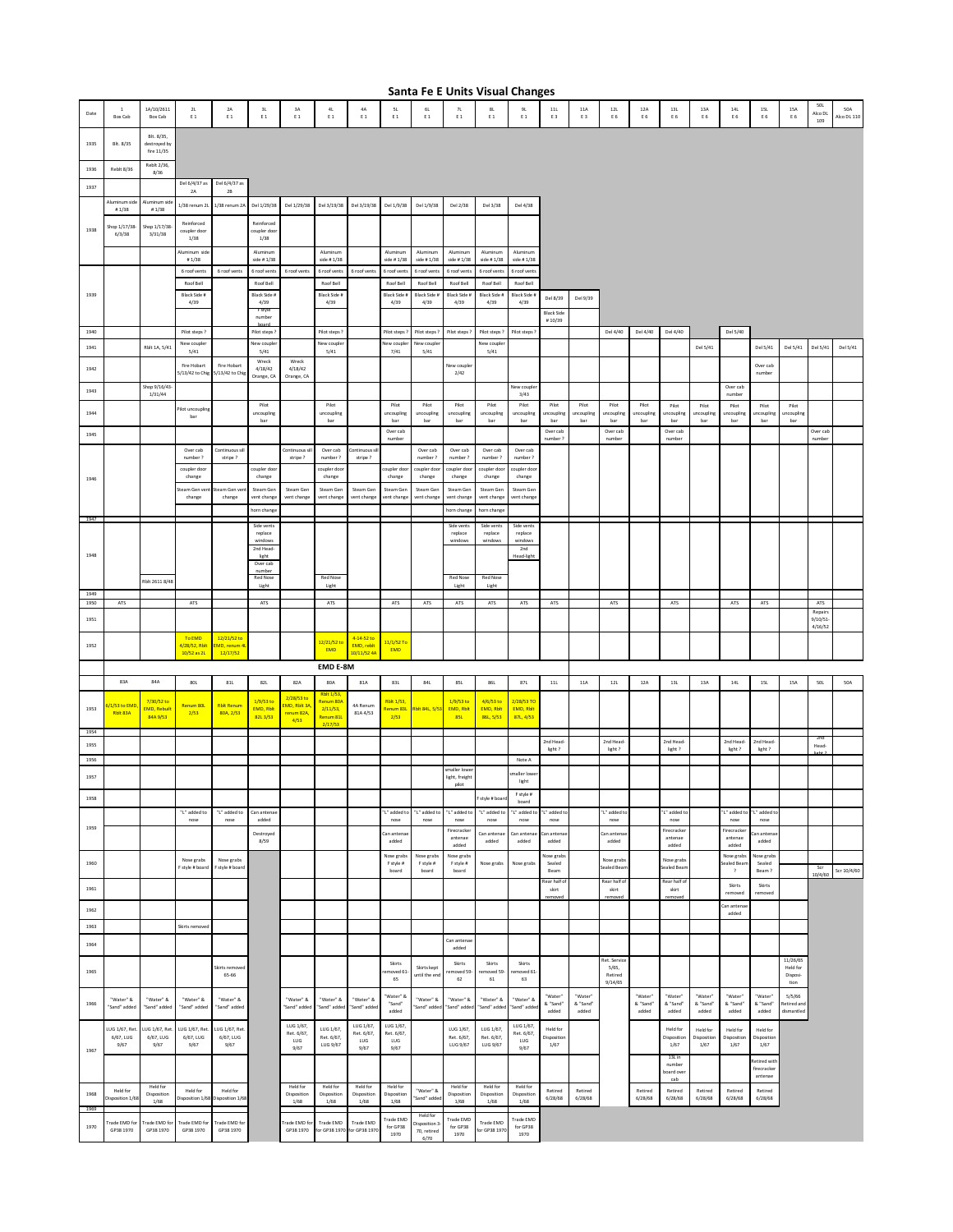|              | Santa Fe E Units Visual Changes |                                          |                                    |                                  |                                    |                                  |                                  |                                  |                                  |                                 |                                |                                           |                                                   |                              |                             |                                |                              |                                |                              |                                        |                               |                                     |                         |                    |
|--------------|---------------------------------|------------------------------------------|------------------------------------|----------------------------------|------------------------------------|----------------------------------|----------------------------------|----------------------------------|----------------------------------|---------------------------------|--------------------------------|-------------------------------------------|---------------------------------------------------|------------------------------|-----------------------------|--------------------------------|------------------------------|--------------------------------|------------------------------|----------------------------------------|-------------------------------|-------------------------------------|-------------------------|--------------------|
| Date         | $\,$ 1<br>Box Cab               | 1A/10/2611<br>Box Cab                    | $2\mathsf{L}$<br>E 1               | $2\mbox{\AA}$<br>$\mathsf{E}\,1$ | $3\mathsf{L}$<br>$\mathsf E$ 1     | $3\mbox{\AA}$<br>$\mathsf{E}\,1$ | $4\mathsf{L}$<br>$\mathsf{E}\,1$ | $4\mathsf{A}$<br>$\mathsf{E}\,1$ | $\mathsf{SL}$<br>$\mathsf{E}$ 1  | 6L<br>$\mathsf{E}\,1$           | 7L<br>$\mathsf{E}~1$           | $\mathsf{8}\mathsf{L}$<br>$\mathsf{E}\,1$ | $9\mathsf{L}$<br>$\mathsf{E}\,1$                  | $11\mathsf{L}$<br>E 3        | $11A$<br>E 3                | $12\mathsf{L}$<br>E 6          | $12\mbox{\AA}$<br>E 6        | $13\mathsf{L}$<br>E 6          | 13A<br>$\mathsf E$ 6         | $14\mathsf{L}$<br>E 6                  | $15\mathsf{L}$<br>E 6         | $15A$<br>E 6                        | $50L$<br>Alco DL<br>109 | 50A<br>Alco DL 110 |
| 1935         | Blt. 8/35                       | Blt. 8/35.<br>destroyed by<br>fire 11/35 |                                    |                                  |                                    |                                  |                                  |                                  |                                  |                                 |                                |                                           |                                                   |                              |                             |                                |                              |                                |                              |                                        |                               |                                     |                         |                    |
| 1936         | <b>Reblt 8/36</b>               | Reblt 2/36,<br>8/36                      |                                    |                                  |                                    |                                  |                                  |                                  |                                  |                                 |                                |                                           |                                                   |                              |                             |                                |                              |                                |                              |                                        |                               |                                     |                         |                    |
| 1937         |                                 |                                          | Del 6/4/37 as<br>$2\text{\AA}$     | Del 6/4/37 as<br>$2B$            |                                    |                                  |                                  |                                  |                                  |                                 |                                |                                           |                                                   |                              |                             |                                |                              |                                |                              |                                        |                               |                                     |                         |                    |
|              | Aluminum side<br># $1/38$       | Numinum sid<br>#1/38                     | 1/38 renum 2L                      | 1/38 renum 2A                    | Del 1/29/38                        | Del 1/29/38                      | Del 3/19/38                      | Del 3/19/38                      | Del 1/9/38                       | Del 1/9/38                      | Del 2/38                       | Del 3/38                                  | Del 4/38                                          |                              |                             |                                |                              |                                |                              |                                        |                               |                                     |                         |                    |
| 1938         | Shop 1/17/38<br>6/3/38          | Shop 1/17/38<br>3/31/38                  | Reinforced<br>coupler door<br>1/38 |                                  | Reinforced<br>coupler door<br>1/38 |                                  |                                  |                                  |                                  |                                 |                                |                                           |                                                   |                              |                             |                                |                              |                                |                              |                                        |                               |                                     |                         |                    |
|              |                                 |                                          | Numinum sid                        |                                  | Aluminum                           |                                  | Aluminun                         |                                  | Aluminum                         | Aluminum                        | Aluminun                       | Aluminum                                  | Aluminum                                          |                              |                             |                                |                              |                                |                              |                                        |                               |                                     |                         |                    |
|              |                                 |                                          | #1/38<br>6 roof vents              | 6 roof vents                     | side #1/38<br>6 roof vents         | 6 roof vents                     | side #1/38<br>6 roof vents       | 6 roof vents                     | side #1/38<br>6 roof vent:       | side #1/38<br>6 roof vent:      | side #1/38<br>6 roof vents     | side #1/38<br>6 roof vent:                | side #1/38<br>6 roof vent:                        |                              |                             |                                |                              |                                |                              |                                        |                               |                                     |                         |                    |
| 1939         |                                 |                                          | Roof Bell<br>Black Side #          |                                  | Roof Bell<br>Black Side #          |                                  | Roof Bell<br>Black Side #        |                                  | Roof Bell<br><b>Black Side</b>   | Roof Bell<br>Black Side         | Roof Bell<br>Black Side        | Roof Bell<br>Black Side #                 | Roof Bell                                         |                              |                             |                                |                              |                                |                              |                                        |                               |                                     |                         |                    |
|              |                                 |                                          | 4/39                               |                                  | 4/39<br>- sty                      |                                  | 4/39                             |                                  | 4/39                             | 4/39                            | 4/39                           | 4/39                                      | Black Side<br>4/39                                | Del 8/39<br><b>Black Sid</b> | Del 9/39                    |                                |                              |                                |                              |                                        |                               |                                     |                         |                    |
|              |                                 |                                          |                                    |                                  | number                             |                                  |                                  |                                  |                                  |                                 |                                |                                           |                                                   | #10/39                       |                             |                                |                              |                                |                              |                                        |                               |                                     |                         |                    |
| 1940<br>1941 |                                 | Rblt 1A, 5/41                            | Pilot steps?<br>New couple:        |                                  | Pilot steps<br>New couple          |                                  | Pilot steps<br>New couple        |                                  | Pilot steps<br><b>Vew couple</b> | Pilot steps<br><b>Vew coupl</b> | Pilot steps ?                  | Pilot steps<br><b>New couple</b>          | Pilot steps                                       |                              |                             | Del 4/40                       | Del 4/40                     | Del 4/40                       | Del 5/41                     | Del 5/40                               | Del 5/41                      | Del 5/41                            | Del 5/41                | Del 5/41           |
|              |                                 |                                          | 5/41<br>Fire Hobart                | Fire Hobar                       | 5/41<br>Wreck                      | Wreck                            | 5/41                             |                                  | 7/41                             | 5/41                            | New coupl                      | 5/41                                      |                                                   |                              |                             |                                |                              |                                |                              |                                        | Over cab                      |                                     |                         |                    |
| 1942         |                                 |                                          | 5/13/42 to Chig                    | 5/13/42 to Chig                  | 4/18/42<br>Orange, CA              | 4/18/42<br>Orange, CA            |                                  |                                  |                                  |                                 | 2/42                           |                                           |                                                   |                              |                             |                                |                              |                                |                              |                                        | number                        |                                     |                         |                    |
| 1943         |                                 | Shop 9/16/43<br>1/31/44                  |                                    |                                  |                                    |                                  |                                  |                                  |                                  |                                 |                                |                                           | New couple<br>3/43                                |                              |                             |                                |                              |                                |                              | Over cab<br>number                     |                               |                                     |                         |                    |
| 1944         |                                 |                                          | ilot uncoupling<br>bar             |                                  | Pilot<br>uncoupling<br>bar         |                                  | Pilot<br>uncoupling<br>bar       |                                  | Pilot<br>uncoupling<br>bar       | Pilot<br>uncoupling<br>bar      | Pilot<br>uncoupling<br>bar     | Pilot<br>uncoupling<br>bar                | Pilot<br>uncoupling<br>bar                        | Pilot<br>mcoupling<br>bar    | Pilot<br>incoupling<br>bar  | Pilot<br>ncoupling<br>bar      | Pilot<br>uncoupling<br>bar   | Pilot<br>ıncoupling<br>bar     | Pilot<br>ıncoupling<br>bar   | Pilot<br>ncouplin<br>bar               | Pilot<br>uncoupling<br>bar    | Pilot<br>incoupling<br>bar          |                         |                    |
| 1945         |                                 |                                          |                                    |                                  |                                    |                                  |                                  |                                  | Over cab<br>number               |                                 |                                |                                           |                                                   | Over cab<br>number ?         |                             | Over cab<br>number             |                              | Over cab<br>number             |                              |                                        |                               |                                     | Over cab<br>number      |                    |
|              |                                 |                                          | Over cab<br>number?                | Continuous sill<br>stripe?       |                                    | Continuous sill<br>stripe?       | Over cab<br>number ?             | ontinuous s<br>stripe?           |                                  | Over cab<br>number ?            | Over cab<br>number?            | Over cab<br>number ?                      | Over cab<br>number?                               |                              |                             |                                |                              |                                |                              |                                        |                               |                                     |                         |                    |
| 1946         |                                 |                                          | coupler door<br>change             |                                  | coupler doc<br>change              |                                  | coupler doo<br>change            |                                  | oupler doo<br>change             | coupler doo<br>change           | coupler doo<br>change          | oupler doo<br>change                      | oupler doo<br>change                              |                              |                             |                                |                              |                                |                              |                                        |                               |                                     |                         |                    |
|              |                                 |                                          | eam Gen ver<br>change              | Steam Gen ve<br>change           | Steam Gen<br>vent change           | Steam Gen<br>vent change         | Steam Ger<br>vent change         | Steam Ger<br>vent change         | Steam Gen<br>ent change          | Steam Ger<br>vent change        | Steam Ger<br>vent change       | Steam Ger<br>ent change                   | Steam Ger<br>vent change                          |                              |                             |                                |                              |                                |                              |                                        |                               |                                     |                         |                    |
|              |                                 |                                          |                                    |                                  | horn chang                         |                                  |                                  |                                  |                                  |                                 | horn change                    | orn change                                |                                                   |                              |                             |                                |                              |                                |                              |                                        |                               |                                     |                         |                    |
| 1947         |                                 |                                          |                                    |                                  | Side vents<br>replace              |                                  |                                  |                                  |                                  |                                 | Side vent:<br>replace          | Side vents<br>replace                     | Side vents<br>replace                             |                              |                             |                                |                              |                                |                              |                                        |                               |                                     |                         |                    |
|              |                                 |                                          |                                    |                                  | windows<br>2nd Head-               |                                  |                                  |                                  |                                  |                                 | windows                        | windows                                   | windows<br>2nd                                    |                              |                             |                                |                              |                                |                              |                                        |                               |                                     |                         |                    |
| 1948         |                                 |                                          |                                    |                                  | light<br>Over cab                  |                                  |                                  |                                  |                                  |                                 |                                |                                           | Head-light                                        |                              |                             |                                |                              |                                |                              |                                        |                               |                                     |                         |                    |
|              |                                 | Rblt 2611 8/48                           |                                    |                                  | number<br><b>Red Nose</b><br>Light |                                  | <b>Red Nose</b><br>Light         |                                  |                                  |                                 | <b>Red Nose</b><br>Light       | <b>Red Nose</b><br>Light                  |                                                   |                              |                             |                                |                              |                                |                              |                                        |                               |                                     |                         |                    |
| 1949<br>1950 | ATS                             |                                          | ATS                                |                                  | ATS                                |                                  | ATS                              |                                  | ATS                              | ATS                             | ATS                            | ATS                                       | ATS                                               | ATS                          |                             | ATS                            |                              | ATS                            |                              | ATS                                    | ATS                           |                                     | ATS                     |                    |
| 1951         |                                 |                                          |                                    |                                  |                                    |                                  |                                  |                                  |                                  |                                 |                                |                                           |                                                   |                              |                             |                                |                              |                                |                              |                                        |                               |                                     | Repairs<br>9/10/51      |                    |
| 1952         |                                 |                                          | To EMD<br>4/28/52, Rbit            | 12/21/52 to<br>MD, renum 4       |                                    |                                  | 12/21/52 to                      | 4-14-52 to<br>EMD, reblt         | $11/1/52$ To                     |                                 |                                |                                           |                                                   |                              |                             |                                |                              |                                |                              |                                        |                               |                                     | 4/16/52                 |                    |
|              |                                 |                                          | 10/52 as 2L                        | 12/17/52                         |                                    |                                  | EMD                              | 10/11/52 4A                      | <b>EMD</b>                       |                                 |                                |                                           |                                                   |                              |                             |                                |                              |                                |                              |                                        |                               |                                     |                         |                    |
|              | 83A                             | 84A                                      | 80L                                | $81 \mathsf{L}$                  | 82L                                | 82A                              | EMD E-8M<br>80A                  | $81A$                            | 83L                              | 84L                             | 85L                            | 86L                                       | 87L                                               | $11\mathsf{L}$               | $11\mbox{\AA}$              | $12\mathsf{L}$                 | $12A$                        | $13\mathsf{L}$                 | $13A$                        | 14L                                    | $15L$                         | 15A                                 | $50L$                   | 50A                |
|              | /1/53 to EM                     | 7/30/52 to                               | Renum 80L                          | <b>Rblt Renun</b>                | 1/9/53 to                          | 2/28/53 to                       | <b>Rbit 1/53</b><br>Renum 80A    | 4A Renum                         | <b>Rblt 1/53</b>                 |                                 | 1/9/53 to                      | 4/6/53 to                                 | 2/28/53 TC                                        |                              |                             |                                |                              |                                |                              |                                        |                               |                                     |                         |                    |
| 1953         | Rblt 83A                        | MD, Rebuil<br>84A 9/53                   | 2/53                               | 80A, 2/53                        | <b>EMD, Rbit</b><br>82L3/53        | MD, Rblt 3/<br>renum 82A<br>4/53 | 2/11/53,<br>Renum 81L<br>2/17/53 | 81A 4/53                         | lenum 83L<br>2/53                | blt 84L, 5/5                    | <b>EMD, Rblt</b><br>85L        | <b>EMD, Rblt</b><br>86L, 5/53             | <b>EMD, Rbit</b><br>87L, 4/53                     |                              |                             |                                |                              |                                |                              |                                        |                               |                                     |                         |                    |
| 1954         |                                 |                                          |                                    |                                  |                                    |                                  |                                  |                                  |                                  |                                 |                                |                                           |                                                   | 2nd Head-                    |                             | 2nd Head-                      |                              | 2nd Head-                      |                              | 2nd Head-                              | 2nd Head                      |                                     | 2nd                     |                    |
| 1955<br>1956 |                                 |                                          |                                    |                                  |                                    |                                  |                                  |                                  |                                  |                                 |                                |                                           | $\operatorname{\mathsf{Note}}\nolimits\mathsf{A}$ | light?                       |                             | light?                         |                              | light?                         |                              | light?                                 | light?                        |                                     | Head-                   |                    |
| 1957         |                                 |                                          |                                    |                                  |                                    |                                  |                                  |                                  |                                  |                                 | smaller lowe<br>light, freigh  |                                           | naller lowe<br>light                              |                              |                             |                                |                              |                                |                              |                                        |                               |                                     |                         |                    |
| 1958         |                                 |                                          |                                    |                                  |                                    |                                  |                                  |                                  |                                  |                                 | pilot                          | style # boa                               | F style #                                         |                              |                             |                                |                              |                                |                              |                                        |                               |                                     |                         |                    |
|              |                                 |                                          | "L" added to                       | "L" added to                     | Can antena                         |                                  |                                  |                                  | "L" added to                     | "L" added to                    | "L" added to                   | "L" added to                              | board<br>'L" added t                              | "L" added t                  |                             | "L" added t                    |                              | "L" added t                    |                              | "L" added to                           | 'L" added t                   |                                     |                         |                    |
| 1959         |                                 |                                          | nose                               | nose                             | added<br>Destroyed                 |                                  |                                  |                                  | nose<br>Can antena               | nose                            | nose<br>Firecracker<br>antenae | nose<br>Can antena                        | nose<br>Can antena                                | nose<br>an antena            |                             | nose<br>Can antena             |                              | nose<br>Firecracke<br>antenae  |                              | nose<br>Firecracke<br>antenae          | nose<br>an antena             |                                     |                         |                    |
|              |                                 |                                          |                                    |                                  | 8/59                               |                                  |                                  |                                  | added<br>Nose grabs              | Nose grabs                      | added<br>Nose grabs            | added                                     | added                                             | added<br>lose grab:          |                             | added                          |                              | added                          |                              | added<br>Nose grabs                    | added<br>Nose grabs           |                                     |                         |                    |
| 1960         |                                 |                                          | Nose grabs<br>F style # board      | Nose grabs<br>F style # board    |                                    |                                  |                                  |                                  | F style #                        | F style #<br>board              | F style #<br>board             | Nose grabs                                | Nose grabs                                        | Sealed<br>Beam               |                             | Nose grab<br>iealed Bean       |                              | Nose grabs<br>Sealed Bean      |                              | Sealed Bear<br>$\overline{\mathbf{r}}$ | Sealed<br>Beam?               |                                     | Scr<br>10/4/60          | Scr 10/4/60        |
|              |                                 |                                          |                                    |                                  |                                    |                                  |                                  |                                  | board                            |                                 |                                |                                           |                                                   |                              |                             |                                |                              |                                |                              |                                        |                               |                                     |                         |                    |
| 1961         |                                 |                                          |                                    |                                  |                                    |                                  |                                  |                                  |                                  |                                 |                                |                                           |                                                   | tear half<br>skirt           |                             | Rear half o<br>skirt           |                              | Rear half o<br>skirt           |                              | <b>Skirts</b><br>removed               | Skirts<br>removed             |                                     |                         |                    |
| 1962         |                                 |                                          |                                    |                                  |                                    |                                  |                                  |                                  |                                  |                                 |                                |                                           |                                                   | removed                      |                             | removed                        |                              | removed                        |                              | Can anten                              |                               |                                     |                         |                    |
| 1963         |                                 |                                          | Skirts removed                     |                                  |                                    |                                  |                                  |                                  |                                  |                                 |                                |                                           |                                                   |                              |                             |                                |                              |                                |                              | added                                  |                               |                                     |                         |                    |
| 1964         |                                 |                                          |                                    |                                  |                                    |                                  |                                  |                                  |                                  |                                 | Can antenae<br>added           |                                           |                                                   |                              |                             |                                |                              |                                |                              |                                        |                               |                                     |                         |                    |
|              |                                 |                                          |                                    | Skirts remo                      |                                    |                                  |                                  |                                  | Skirts                           |                                 | Skirts                         | Skirts                                    | Skirts                                            |                              |                             | Ret. Service                   |                              |                                |                              |                                        |                               | 11/26/65<br>Held for                |                         |                    |
| 1965         |                                 |                                          |                                    | 65-66                            |                                    |                                  |                                  |                                  | moved 61<br>65                   | Skirts kept<br>until the end    | moved 59<br>62                 | emoved 59<br>61                           | moved 61<br>63                                    |                              |                             | $5/65$ ,<br>Retired<br>9/14/65 |                              |                                |                              |                                        |                               | Disposi-<br>tion                    |                         |                    |
| 1966         | "Water" &<br>"Sand" added       | "Water" &<br>"Sand" added                | "Water" &<br>"Sand" added          | "Water" &<br>"Sand" added        |                                    | "Water" &<br>"Sand" added        | "Water" &<br>"Sand" added        | "Water" &<br>"Sand" added        | "Water" &<br>"Sand"<br>added     | "Water" &<br>'Sand" added       | "Water" &<br>"Sand" added      | "Water" &<br>'Sand" adde                  | "Water" &<br>"Sand" adde                          | "Water'<br>& "Sand"<br>added | "Water<br>& "Sand"<br>added |                                | "Water"<br>& "Sand"<br>added | "Water"<br>& "Sand"<br>added   | "Water'<br>& "Sand"<br>added | "Water"<br>& "Sand"<br>added           | "Water"<br>& "Sand"<br>added  | 5/5/66<br>Retired and<br>dismantled |                         |                    |
|              | UG 1/67, Ret                    | UG 1/67, Ret                             | LUG 1/67, Ret.                     | LUG 1/67, Ret                    |                                    | LUG 1/67,                        | LUG 1/67,                        | LUG 1/67                         | LUG 1/67                         |                                 | LUG 1/67,                      | LUG 1/67,                                 | LUG 1/67,                                         | Held for                     |                             |                                |                              | Held for                       | Held for                     | Held for                               | Held for                      |                                     |                         |                    |
| 1967         | 6/67, LUG<br>9/67               | 6/67, LUG<br>9/67                        | 6/67, LUG<br>9/67                  | 6/67, LUG<br>9/67                |                                    | Ret. 6/67,<br>LUG<br>9/67        | Ret. 6/67.<br>LUG 9/67           | Ret. 6/67,<br>LUG<br>9/67        | Ret. 6/67,<br>LUG<br>9/67        |                                 | Ret. 6/67.<br>LUG 9/67         | Ret. 6/67.<br>LUG 9/67                    | Ret. 6/67,<br>LUG<br>9/67                         | Disposition<br>1/67          |                             |                                |                              | Disposition<br>1/67            | Disposition<br>1/67          | Disposition<br>1/67                    | Disposition<br>1/67           |                                     |                         |                    |
|              |                                 |                                          |                                    |                                  |                                    |                                  |                                  |                                  |                                  |                                 |                                |                                           |                                                   |                              |                             |                                |                              | 13L in<br>number<br>board over |                              |                                        | tetired wit<br>firecracker    |                                     |                         |                    |
| 1968         | Held for<br>sposition 1/6       | Held for<br>Disposition                  | Held for<br>isposition 1/68        | Held for<br>lisposition 1/68     |                                    | Held for<br>Disposition          | Held for<br>Disposition          | Held for<br>Disposition          | Held for<br>Disposition          | "Water" &<br>'Sand" adder       | Held for<br>Disposition        | Held for<br>Disposition                   | Held for<br>Disposition                           | Retired<br>6/28/68           | Retired<br>6/28/68          |                                | Retired<br>6/28/68           | cah<br>Retired<br>6/28/68      | Retired<br>6/28/68           | Retired<br>6/28/68                     | antenae<br>Retired<br>6/28/68 |                                     |                         |                    |
| 1969<br>1970 | Frade EMD fo                    | 1/68<br>rade EMD for                     | Trade EMD for                      | Trade EMD for                    |                                    | 1/68<br>rade EMD for             | 1/68<br>Trade EMD                | 1/68<br>Trade EMD                | 1/68<br>Trade EMD<br>for GP38    | Held for<br>Disposition 3       | 1/68<br>Trade EMD<br>for GP38  | 1/68<br>Trade EMD                         | 1/68<br>Trade EMD<br>for GP38                     |                              |                             |                                |                              |                                |                              |                                        |                               |                                     |                         |                    |